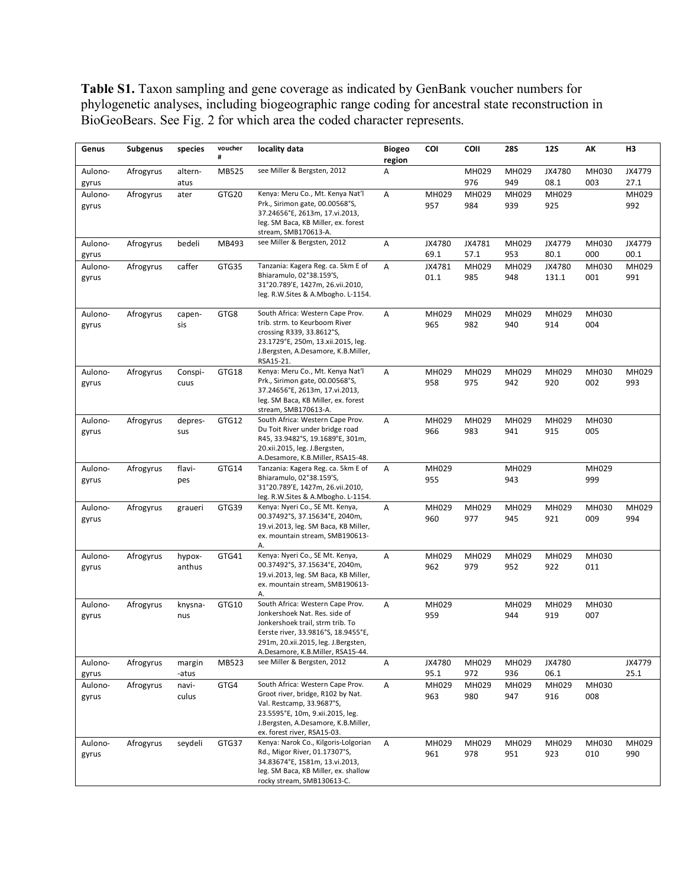**Table S1.** Taxon sampling and gene coverage as indicated by GenBank voucher numbers for phylogenetic analyses, including biogeographic range coding for ancestral state reconstruction in BioGeoBears. See Fig. 2 for which area the coded character represents.

| Genus                     | <b>Subgenus</b> | species                 | voucher<br># | locality data                                                                                                                                                                                                            | <b>Biogeo</b><br>region | COI                  | <b>COII</b>         | <b>28S</b>          | <b>12S</b>           | АΚ           | H <sub>3</sub> |
|---------------------------|-----------------|-------------------------|--------------|--------------------------------------------------------------------------------------------------------------------------------------------------------------------------------------------------------------------------|-------------------------|----------------------|---------------------|---------------------|----------------------|--------------|----------------|
| Aulono-<br>gyrus          | Afrogyrus       | altern-<br>atus         | MB525        | see Miller & Bergsten, 2012                                                                                                                                                                                              | Α                       |                      | MH029<br>976        | MH029<br>949        | JX4780<br>08.1       | MH030<br>003 | JX4779<br>27.1 |
| Aulono-<br>gyrus          | Afrogyrus       | ater                    | GTG20        | Kenya: Meru Co., Mt. Kenya Nat'l<br>Prk., Sirimon gate, 00.00568°S,<br>37.24656°E, 2613m, 17.vi.2013,<br>leg. SM Baca, KB Miller, ex. forest<br>stream, SMB170613-A.                                                     | Α                       | MH029<br>957         | MH029<br>984        | MH029<br>939        | MH029<br>925         |              | MH029<br>992   |
| Aulono-<br>gyrus          | Afrogyrus       | bedeli                  | MB493        | see Miller & Bergsten, 2012                                                                                                                                                                                              | Α                       | JX4780<br>69.1       | JX4781<br>57.1      | MH029<br>953        | JX4779<br>80.1       | MH030<br>000 | JX4779<br>00.1 |
| Aulono-<br>gyrus          | Afrogyrus       | caffer                  | GTG35        | Tanzania: Kagera Reg. ca. 5km E of<br>Bhiaramulo, 02°38.159'S,<br>31°20.789'E, 1427m, 26.vii.2010,<br>leg. R.W.Sites & A.Mbogho. L-1154.                                                                                 | Α                       | JX4781<br>01.1       | MH029<br>985        | MH029<br>948        | JX4780<br>131.1      | MH030<br>001 | MH029<br>991   |
| Aulono-<br>gyrus          | Afrogyrus       | capen-<br>sis           | GTG8         | South Africa: Western Cape Prov.<br>trib. strm. to Keurboom River<br>crossing R339, 33.8612°S,<br>23.1729°E, 250m, 13.xii.2015, leg.<br>J.Bergsten, A.Desamore, K.B.Miller,<br>RSA15-21.                                 | Α                       | MH029<br>965         | MH029<br>982        | MH029<br>940        | MH029<br>914         | MH030<br>004 |                |
| Aulono-<br>gyrus          | Afrogyrus       | Conspi-<br>cuus         | GTG18        | Kenya: Meru Co., Mt. Kenya Nat'l<br>Prk., Sirimon gate, 00.00568°S,<br>37.24656°E, 2613m, 17.vi.2013,<br>leg. SM Baca, KB Miller, ex. forest<br>stream, SMB170613-A.                                                     | Α                       | MH029<br>958         | MH029<br>975        | MH029<br>942        | MH029<br>920         | MH030<br>002 | MH029<br>993   |
| Aulono-<br>gyrus          | Afrogyrus       | depres-<br>sus          | GTG12        | South Africa: Western Cape Prov.<br>Du Toit River under bridge road<br>R45, 33.9482°S, 19.1689°E, 301m,<br>20.xii.2015, leg. J.Bergsten,<br>A.Desamore, K.B.Miller, RSA15-48.                                            | Α                       | MH029<br>966         | MH029<br>983        | MH029<br>941        | MH029<br>915         | MH030<br>005 |                |
| Aulono-<br>gyrus          | Afrogyrus       | flavi-<br>pes           | GTG14        | Tanzania: Kagera Reg. ca. 5km E of<br>Bhiaramulo, 02°38.159'S,<br>31°20.789'E, 1427m, 26.vii.2010,<br>leg. R.W.Sites & A.Mbogho. L-1154.                                                                                 | Α                       | MH029<br>955         |                     | MH029<br>943        |                      | MH029<br>999 |                |
| Aulono-<br>gyrus          | Afrogyrus       | graueri                 | GTG39        | Kenya: Nyeri Co., SE Mt. Kenya,<br>00.37492°S, 37.15634°E, 2040m,<br>19.vi.2013, leg. SM Baca, KB Miller,<br>ex. mountain stream, SMB190613-<br>А.                                                                       | Α                       | MH029<br>960         | MH029<br>977        | MH029<br>945        | MH029<br>921         | MH030<br>009 | MH029<br>994   |
| Aulono-<br>gyrus          | Afrogyrus       | hypox-<br>anthus        | GTG41        | Kenya: Nyeri Co., SE Mt. Kenya,<br>00.37492°S, 37.15634°E, 2040m,<br>19.vi.2013, leg. SM Baca, KB Miller,<br>ex. mountain stream, SMB190613-<br>А.                                                                       | А                       | MH029<br>962         | MH029<br>979        | MH029<br>952        | MH029<br>922         | MH030<br>011 |                |
| Aulono-<br>gyrus          | Afrogyrus       | knysna-<br>nus          | GTG10        | South Africa: Western Cape Prov.<br>Jonkershoek Nat. Res. side of<br>Jonkershoek trail, strm trib. To<br>Eerste river, 33.9816°S, 18.9455°E,<br>291m, 20.xii.2015, leg. J.Bergsten,<br>A.Desamore, K.B.Miller, RSA15-44. | Α                       | MH029<br>959         |                     | MH029<br>944        | MH029<br>919         | MH030<br>007 |                |
| Aulono-                   | Afrogyrus       | margin                  | MB523        | see Miller & Bergsten, 2012                                                                                                                                                                                              | Α                       | JX4780               | MH029               | MH029               | JX4780               |              | JX4779         |
| gyrus<br>Aulono-<br>gyrus | Afrogyrus       | -atus<br>navi-<br>culus | GTG4         | South Africa: Western Cape Prov.<br>Groot river, bridge, R102 by Nat.<br>Val. Restcamp, 33.9687°S,<br>23.5595°E, 10m, 9.xii.2015, leg.<br>J.Bergsten, A.Desamore, K.B.Miller,<br>ex. forest river, RSA15-03.             | Α                       | 95.1<br>MH029<br>963 | 972<br>MH029<br>980 | 936<br>MH029<br>947 | 06.1<br>MH029<br>916 | MH030<br>008 | 25.1           |
| Aulono-<br>gyrus          | Afrogyrus       | seydeli                 | GTG37        | Kenya: Narok Co., Kilgoris-Lolgorian<br>Rd., Migor River, 01.17307°S,<br>34.83674°E, 1581m, 13.vi.2013,<br>leg. SM Baca, KB Miller, ex. shallow<br>rocky stream, SMB130613-C.                                            | Α                       | MH029<br>961         | MH029<br>978        | MH029<br>951        | MH029<br>923         | MH030<br>010 | MH029<br>990   |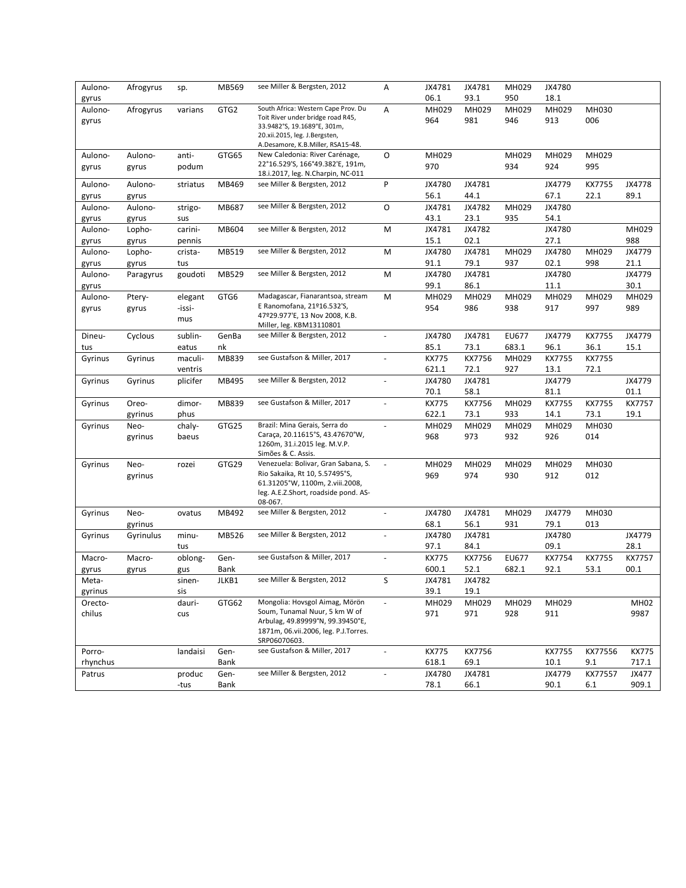| Aulono-<br>gyrus | Afrogyrus        | sp.            | MB569        | see Miller & Bergsten, 2012                                                                             | Α                        | JX4781<br>06.1        | JX4781<br>93.1 | MH029<br>950          | JX4780<br>18.1 |                |                |
|------------------|------------------|----------------|--------------|---------------------------------------------------------------------------------------------------------|--------------------------|-----------------------|----------------|-----------------------|----------------|----------------|----------------|
| Aulono-<br>gyrus | Afrogyrus        | varians        | GTG2         | South Africa: Western Cape Prov. Du<br>Toit River under bridge road R45,<br>33.9482°S, 19.1689°E, 301m, | Α                        | MH029<br>964          | MH029<br>981   | MH029<br>946          | MH029<br>913   | MH030<br>006   |                |
|                  |                  |                |              | 20.xii.2015, leg. J.Bergsten,<br>A.Desamore, K.B.Miller, RSA15-48.                                      |                          |                       |                |                       |                |                |                |
| Aulono-<br>gyrus | Aulono-<br>gyrus | anti-<br>podum | GTG65        | New Caledonia: River Carénage,<br>22°16.529'S, 166°49.382'E, 191m,<br>18.i.2017, leg. N.Charpin, NC-011 | O                        | MH029<br>970          |                | MH029<br>934          | MH029<br>924   | MH029<br>995   |                |
| Aulono-          | Aulono-          | striatus       | MB469        | see Miller & Bergsten, 2012                                                                             | P                        | JX4780<br>56.1        | JX4781<br>44.1 |                       | JX4779<br>67.1 | KX7755<br>22.1 | JX4778<br>89.1 |
| gyrus<br>Aulono- | gyrus<br>Aulono- | strigo-        | MB687        | see Miller & Bergsten, 2012                                                                             | O                        | JX4781                | JX4782         | MH029                 | JX4780         |                |                |
| gyrus            | gyrus            | sus            |              |                                                                                                         |                          | 43.1                  | 23.1           | 935                   | 54.1           |                |                |
| Aulono-          | Lopho-           | carini-        | MB604        | see Miller & Bergsten, 2012                                                                             | M                        | JX4781                | JX4782         |                       | JX4780         |                | MH029          |
| gyrus            | gyrus            | pennis         |              |                                                                                                         |                          | 15.1                  | 02.1           |                       | 27.1           |                | 988            |
| Aulono-          | Lopho-           | crista-        | MB519        | see Miller & Bergsten, 2012                                                                             | M                        | JX4780                | JX4781         | MH029                 | JX4780         | MH029          | JX4779         |
| gyrus            | gyrus            | tus            |              |                                                                                                         |                          | 91.1                  | 79.1           | 937                   | 02.1           | 998            | 21.1           |
| Aulono-          | Paragyrus        | goudoti        | MB529        | see Miller & Bergsten, 2012                                                                             | M                        | JX4780<br>99.1        | JX4781<br>86.1 |                       | JX4780<br>11.1 |                | JX4779<br>30.1 |
| gyrus<br>Aulono- | Ptery-           | elegant        | GTG6         | Madagascar, Fianarantsoa, stream                                                                        | M                        | MH029                 | MH029          | MH029                 | MH029          | MH029          | MH029          |
| gyrus            | gyrus            | -issi-         |              | E Ranomofana, 21º16.532'S,                                                                              |                          | 954                   | 986            | 938                   | 917            | 997            | 989            |
|                  |                  | mus            |              | 47º29.977'E, 13 Nov 2008, K.B.<br>Miller, leg. KBM13110801                                              |                          |                       |                |                       |                |                |                |
| Dineu-           | Cyclous          | sublin-        | GenBa        | see Miller & Bergsten, 2012                                                                             | $\overline{a}$           | JX4780                | JX4781         | EU677                 | JX4779         | KX7755         | JX4779         |
| tus              |                  | eatus          | nk           |                                                                                                         |                          | 85.1                  | 73.1           | 683.1                 | 96.1           | 36.1           | 15.1           |
| Gyrinus          | Gyrinus          | maculi-        | MB839        | see Gustafson & Miller, 2017                                                                            | $\overline{\phantom{a}}$ | <b>KX775</b>          | KX7756         | MH029                 | KX7755         | KX7755         |                |
|                  |                  | ventris        |              |                                                                                                         |                          | 621.1                 | 72.1           | 927                   | 13.1           | 72.1           |                |
| Gyrinus          | Gyrinus          | plicifer       | MB495        | see Miller & Bergsten, 2012                                                                             |                          | JX4780<br>70.1        | JX4781<br>58.1 |                       | JX4779<br>81.1 |                | JX4779<br>01.1 |
| Gyrinus          | Oreo-            | dimor-         | MB839        | see Gustafson & Miller, 2017                                                                            |                          | <b>KX775</b>          | KX7756         | MH029                 | KX7755         | KX7755         | KX7757         |
|                  | gyrinus          | phus           |              |                                                                                                         |                          | 622.1                 | 73.1           | 933                   | 14.1           | 73.1           | 19.1           |
| Gyrinus          | Neo-             | chaly-         | GTG25        | Brazil: Mina Gerais, Serra do                                                                           | $\blacksquare$           | MH029                 | MH029          | MH029                 | MH029          | MH030          |                |
|                  | gyrinus          | baeus          |              | Caraça, 20.11615°S, 43.47670°W,<br>1260m, 31.i.2015 leg. M.V.P.<br>Simões & C. Assis.                   |                          | 968                   | 973            | 932                   | 926            | 014            |                |
| Gyrinus          | Neo-             | rozei          | GTG29        | Venezuela: Bolivar, Gran Sabana, S.                                                                     |                          | MH029                 | MH029          | MH029                 | MH029          | MH030          |                |
|                  | gyrinus          |                |              | Rio Sakaika, Rt 10, 5.57495°S,                                                                          |                          | 969                   | 974            | 930                   | 912            | 012            |                |
|                  |                  |                |              | 61.31205°W, 1100m, 2.viii.2008,<br>leg. A.E.Z.Short, roadside pond. AS-                                 |                          |                       |                |                       |                |                |                |
|                  |                  |                |              | 08-067.                                                                                                 |                          |                       |                |                       |                |                |                |
| Gyrinus          | Neo-             | ovatus         | MB492        | see Miller & Bergsten, 2012                                                                             | $\blacksquare$           | JX4780                | JX4781         | MH029                 | JX4779         | MH030          |                |
|                  | gyrinus          |                |              |                                                                                                         |                          | 68.1                  | 56.1           | 931                   | 79.1           | 013            |                |
| Gyrinus          | Gyrinulus        | minu-          | MB526        | see Miller & Bergsten, 2012                                                                             |                          | JX4780                | JX4781         |                       | JX4780         |                | JX4779         |
|                  |                  | tus            |              |                                                                                                         |                          | 97.1                  | 84.1           |                       | 09.1           |                | 28.1           |
| Macro-           | Macro-           | oblong-        | Gen-<br>Bank | see Gustafson & Miller, 2017                                                                            | $\omega$                 | <b>KX775</b><br>600.1 | KX7756<br>52.1 | <b>EU677</b><br>682.1 | KX7754<br>92.1 | KX7755<br>53.1 | KX7757<br>00.1 |
| gyrus<br>Meta-   | gyrus            | gus<br>sinen-  | JLKB1        | see Miller & Bergsten, 2012                                                                             | S                        | JX4781                | JX4782         |                       |                |                |                |
| gyrinus          |                  | sis            |              |                                                                                                         |                          | 39.1                  | 19.1           |                       |                |                |                |
| Orecto-          |                  | dauri-         | GTG62        | Mongolia: Hovsgol Aimag, Mörön                                                                          |                          | MH029                 | MH029          | MH029                 | MH029          |                | <b>MH02</b>    |
| chilus           |                  | cus            |              | Soum, Tunamal Nuur, 5 km W of                                                                           |                          | 971                   | 971            | 928                   | 911            |                | 9987           |
|                  |                  |                |              | Arbulag, 49.89999°N, 99.39450°E,<br>1871m, 06.vii.2006, leg. P.J.Torres.<br>SRP06070603.                |                          |                       |                |                       |                |                |                |
| Porro-           |                  | landaisi       | Gen-         | see Gustafson & Miller, 2017                                                                            | $\blacksquare$           | <b>KX775</b>          | KX7756         |                       | KX7755         | KX77556        | <b>KX775</b>   |
| rhynchus         |                  |                | Bank         |                                                                                                         |                          | 618.1                 | 69.1           |                       | 10.1           | 9.1            | 717.1          |
| Patrus           |                  | produc         | Gen-         | see Miller & Bergsten, 2012                                                                             |                          | JX4780                | JX4781         |                       | JX4779         | KX77557        | JX477          |
|                  |                  | -tus           | Bank         |                                                                                                         |                          | 78.1                  | 66.1           |                       | 90.1           | 6.1            | 909.1          |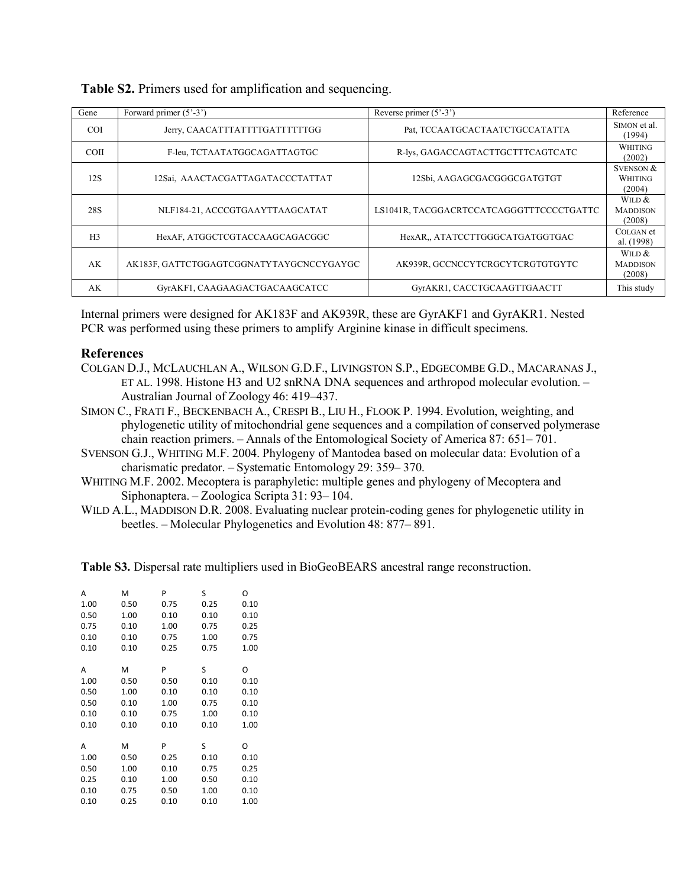| Gene           | Forward primer $(5'-3')$                 | Reverse primer $(5^{\circ}-3^{\circ})$   | Reference                                 |
|----------------|------------------------------------------|------------------------------------------|-------------------------------------------|
| <b>COI</b>     | Jerry, CAACATTTATTTTGATTTTTGG            | Pat, TCCAATGCACTAATCTGCCATATTA           | SIMON et al.<br>(1994)                    |
| <b>COII</b>    | F-leu, TCTAATATGGCAGATTAGTGC             | R-lys, GAGACCAGTACTTGCTTTCAGTCATC        | <b>WHITING</b><br>(2002)                  |
| 12S            | 12Sai, AAACTACGATTAGATACCCTATTAT         | 12Sbi, AAGAGCGACGGGCGATGTGT              | <b>SVENSON &amp;</b><br>WHITING<br>(2004) |
| 28S            | NLF184-21, ACCCGTGAAYTTAAGCATAT          | LS1041R, TACGGACRTCCATCAGGGTTTCCCCTGATTC | WILD $&$<br><b>MADDISON</b><br>(2008)     |
| H <sub>3</sub> | HexAF, ATGGCTCGTACCAAGCAGACGGC           | HexAR., ATATCCTTGGGCATGATGGTGAC          | COLGAN et<br>al. (1998)                   |
| AK             | AK183F, GATTCTGGAGTCGGNATYTAYGCNCCYGAYGC | AK939R, GCCNCCYTCRGCYTCRGTGTGYTC         | WILD $&$<br><b>MADDISON</b><br>(2008)     |
| AK             | GyrAKF1, CAAGAAGACTGACAAGCATCC           | GyrAKR1, CACCTGCAAGTTGAACTT              | This study                                |

**Table S2.** Primers used for amplification and sequencing.

Internal primers were designed for AK183F and AK939R, these are GyrAKF1 and GyrAKR1. Nested PCR was performed using these primers to amplify Arginine kinase in difficult specimens.

### **References**

- COLGAN D.J., MCLAUCHLAN A., WILSON G.D.F., LIVINGSTON S.P., EDGECOMBE G.D., MACARANAS J., ET AL. 1998. Histone H3 and U2 snRNA DNA sequences and arthropod molecular evolution. – Australian Journal of Zoology 46: 419–437.
- SIMON C., FRATI F., BECKENBACH A., CRESPI B., LIU H., FLOOK P. 1994. Evolution, weighting, and phylogenetic utility of mitochondrial gene sequences and a compilation of conserved polymerase chain reaction primers. – Annals of the Entomological Society of America 87: 651– 701.
- SVENSON G.J., WHITING M.F. 2004. Phylogeny of Mantodea based on molecular data: Evolution of a charismatic predator. – Systematic Entomology 29: 359– 370.
- WHITING M.F. 2002. Mecoptera is paraphyletic: multiple genes and phylogeny of Mecoptera and Siphonaptera. – Zoologica Scripta 31: 93– 104.
- WILD A.L., MADDISON D.R. 2008. Evaluating nuclear protein-coding genes for phylogenetic utility in beetles. – Molecular Phylogenetics and Evolution 48: 877– 891.

**Table S3.** Dispersal rate multipliers used in BioGeoBEARS ancestral range reconstruction.

| А    | M    | P    | S    | O    |
|------|------|------|------|------|
| 1.00 | 0.50 | 0.75 | 0.25 | 0.10 |
| 0.50 | 1.00 | 0.10 | 0.10 | 0.10 |
| 0.75 | 0.10 | 1.00 | 0.75 | 0.25 |
| 0.10 | 0.10 | 0.75 | 1.00 | 0.75 |
| 0.10 | 0.10 | 0.25 | 0.75 | 1.00 |
|      |      |      |      |      |
| А    | M    | P    | S    | O    |
| 1.00 | 0.50 | 0.50 | 0.10 | 0.10 |
| 0.50 | 1.00 | 0.10 | 0.10 | 0.10 |
| 0.50 | 0.10 | 1.00 | 0.75 | 0.10 |
| 0.10 | 0.10 | 0.75 | 1.00 | 0.10 |
| 0.10 | 0.10 | 0.10 | 0.10 | 1.00 |
|      |      |      |      |      |
| А    | M    | P    | S    | O    |
| 1.00 | 0.50 | 0.25 | 0.10 | 0.10 |
| 0.50 | 1.00 | 0.10 | 0.75 | 0.25 |
| 0.25 | 0.10 | 1.00 | 0.50 | 0.10 |
| 0.10 | 0.75 | 0.50 | 1.00 | 0.10 |
| 0.10 | 0.25 | 0.10 | 0.10 | 1.00 |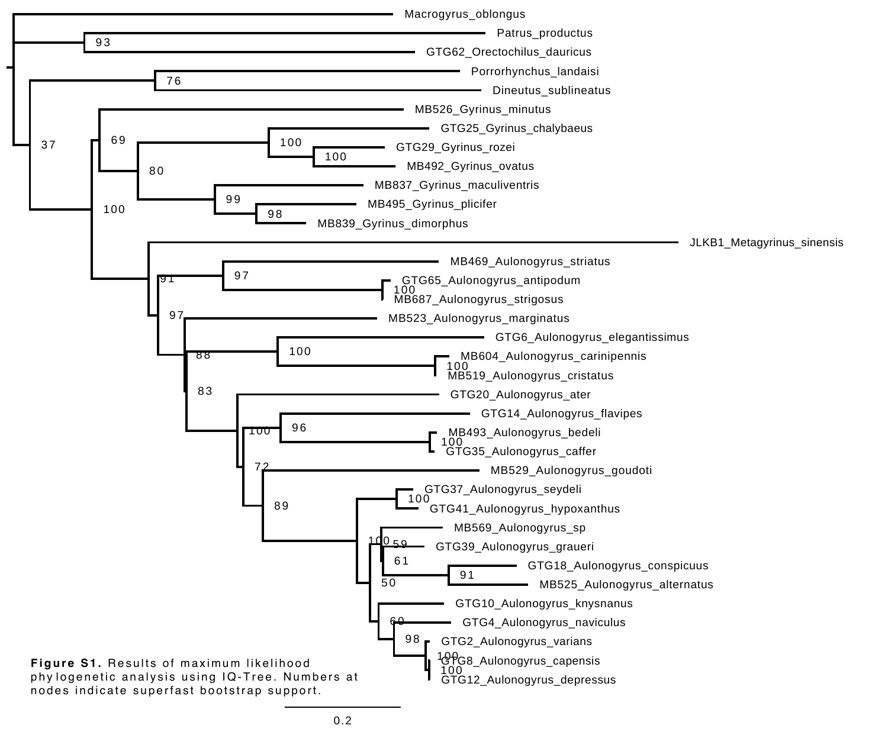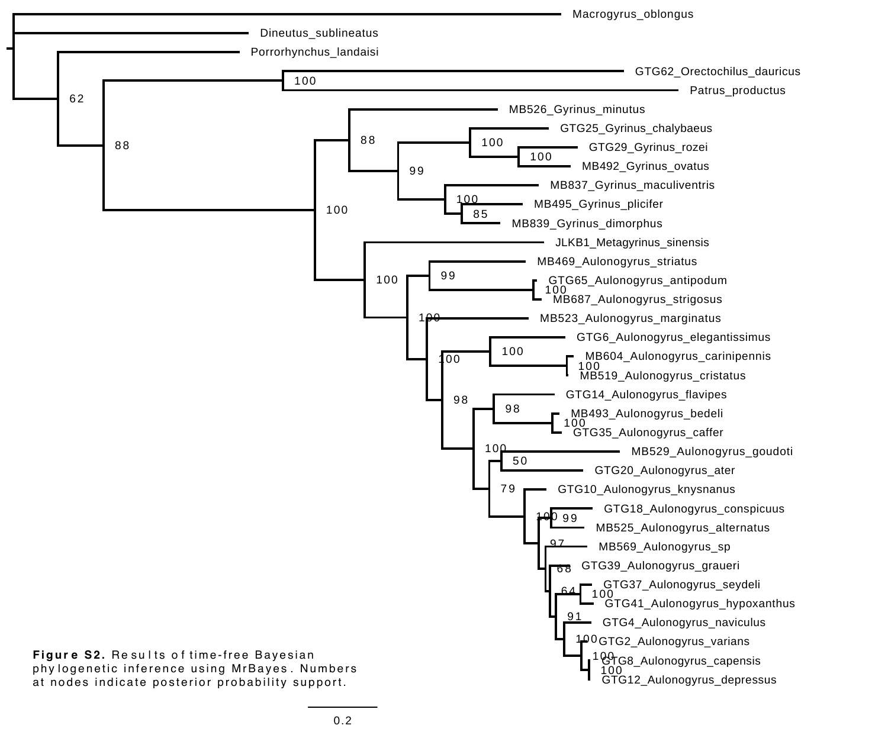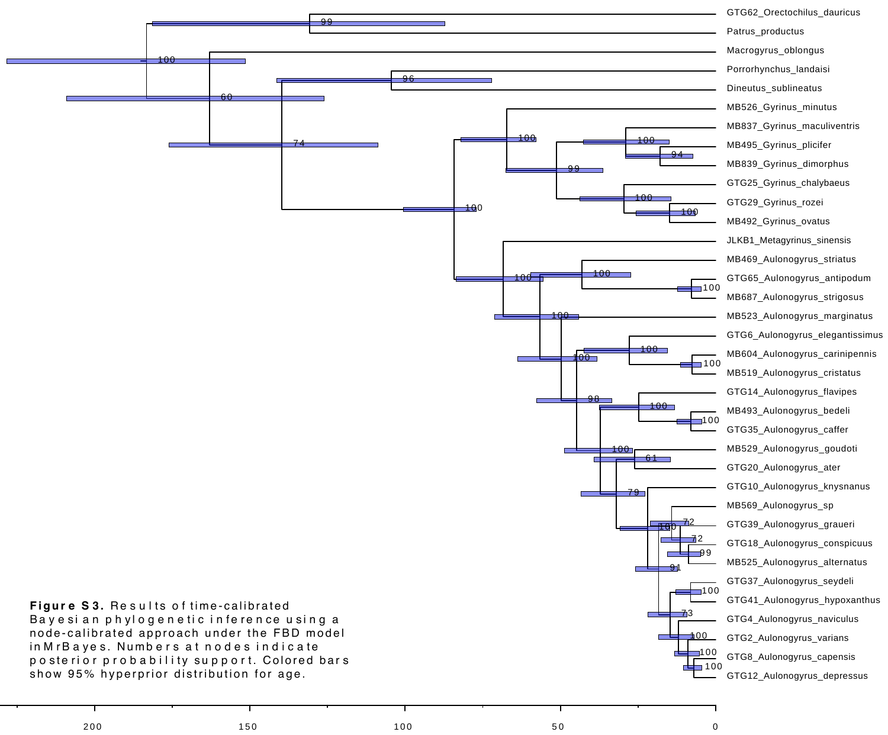

 $200$   $150$   $150$   $100$   $50$   $0$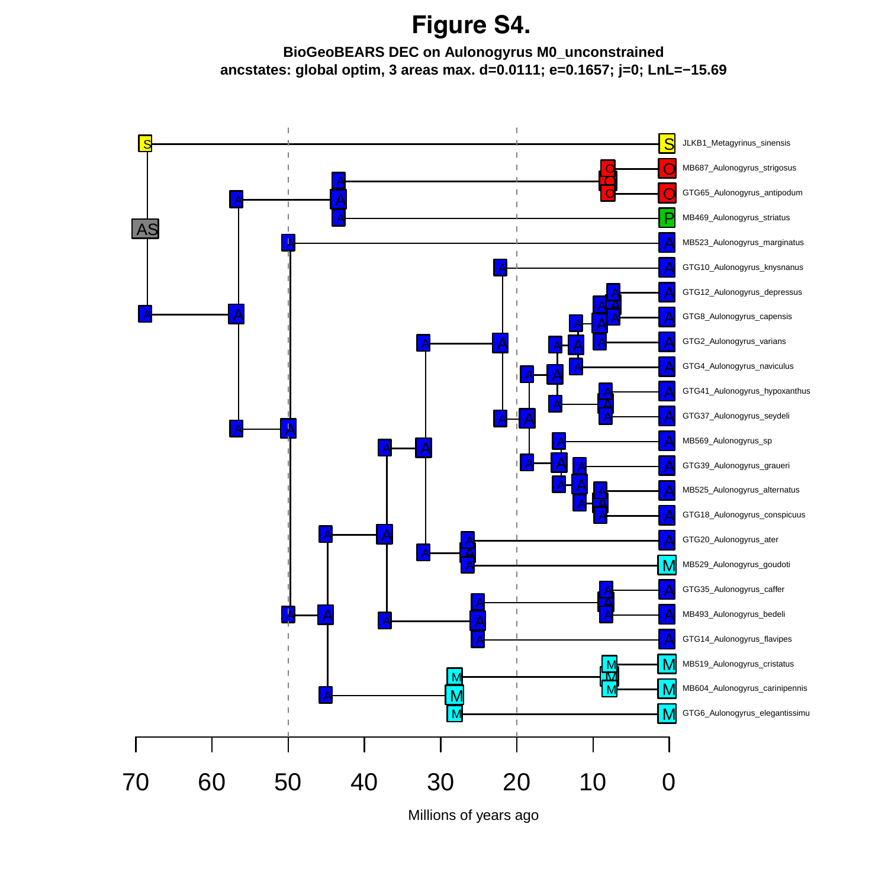## **Figure S4.**

#### **BioGeoBEARS DEC on Aulonogyrus M0\_unconstrained ancstates: global optim, 3 areas max. d=0.0111; e=0.1657; j=0; LnL=−15.69**

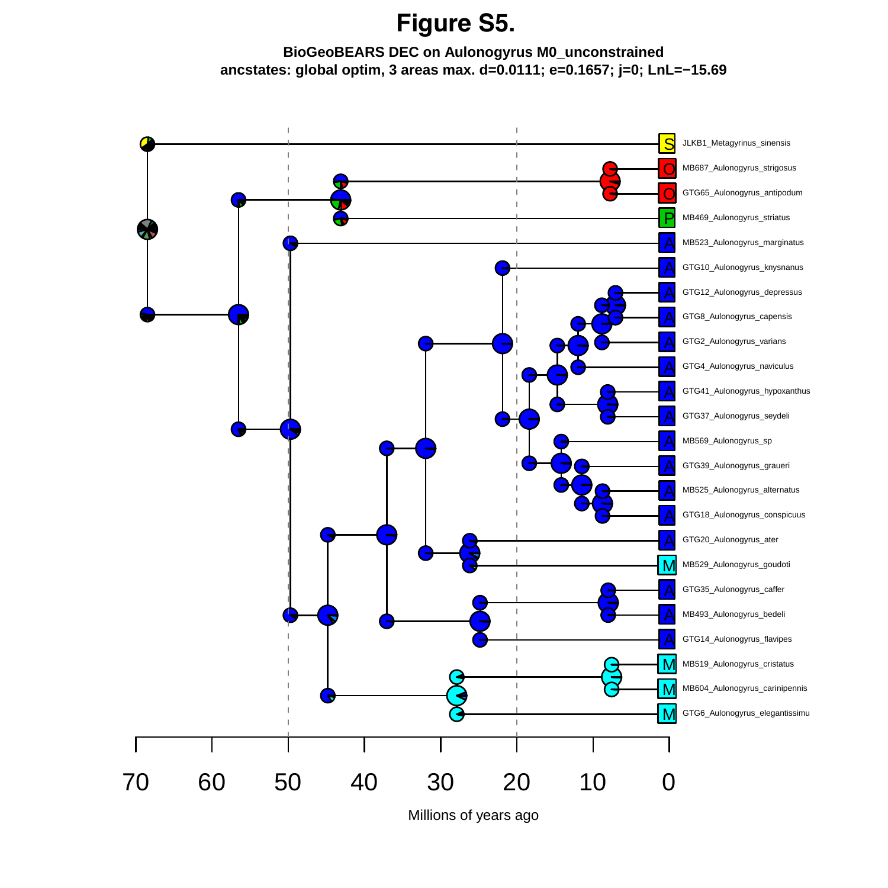**Figure S5.**

#### **BioGeoBEARS DEC on Aulonogyrus M0\_unconstrained ancstates: global optim, 3 areas max. d=0.0111; e=0.1657; j=0; LnL=−15.69**

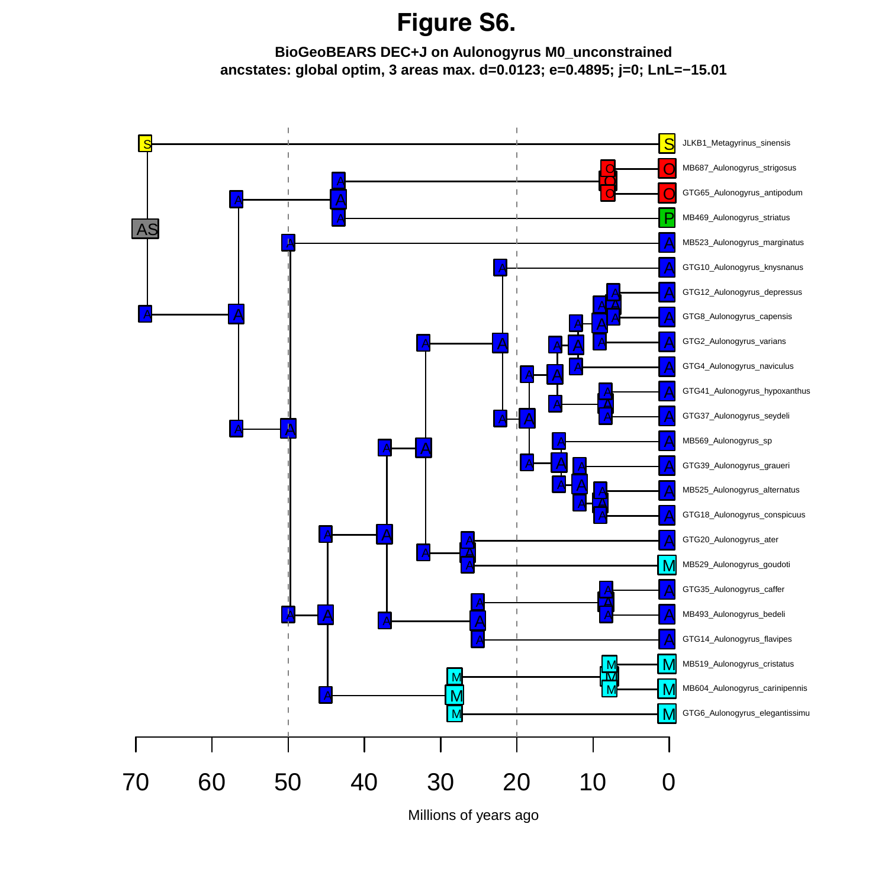## **Figure S6.**

#### **BioGeoBEARS DEC+J on Aulonogyrus M0\_unconstrained ancstates: global optim, 3 areas max. d=0.0123; e=0.4895; j=0; LnL=−15.01**

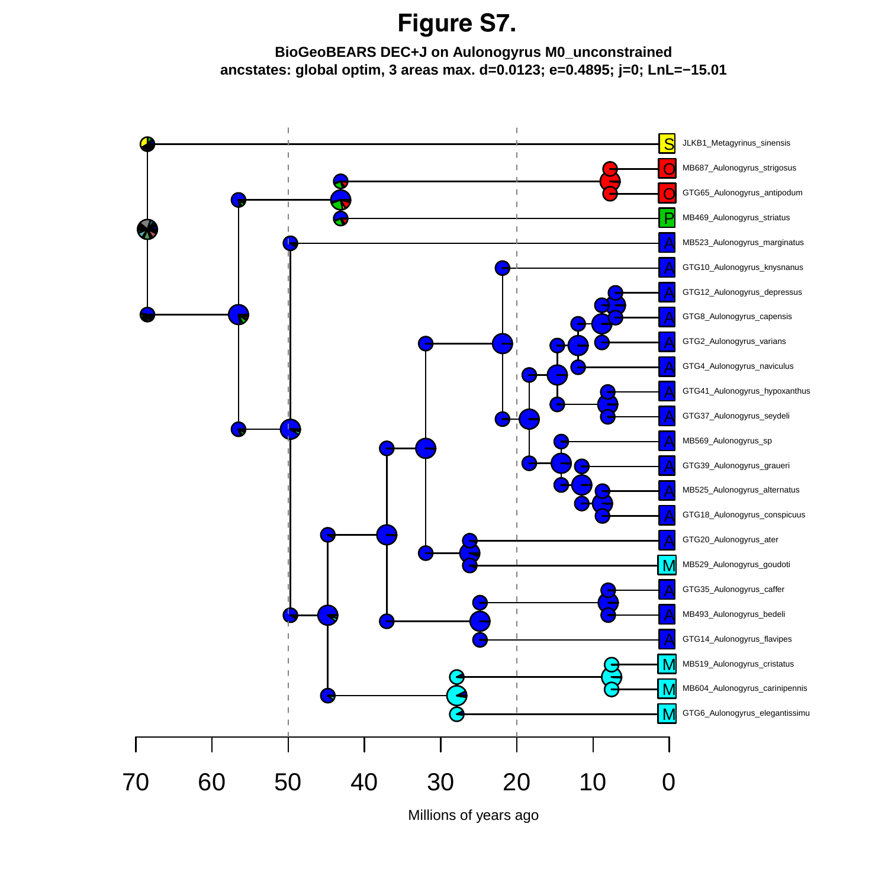## **Figure S7.**

#### **BioGeoBEARS DEC+J on Aulonogyrus M0\_unconstrained ancstates: global optim, 3 areas max. d=0.0123; e=0.4895; j=0; LnL=−15.01**

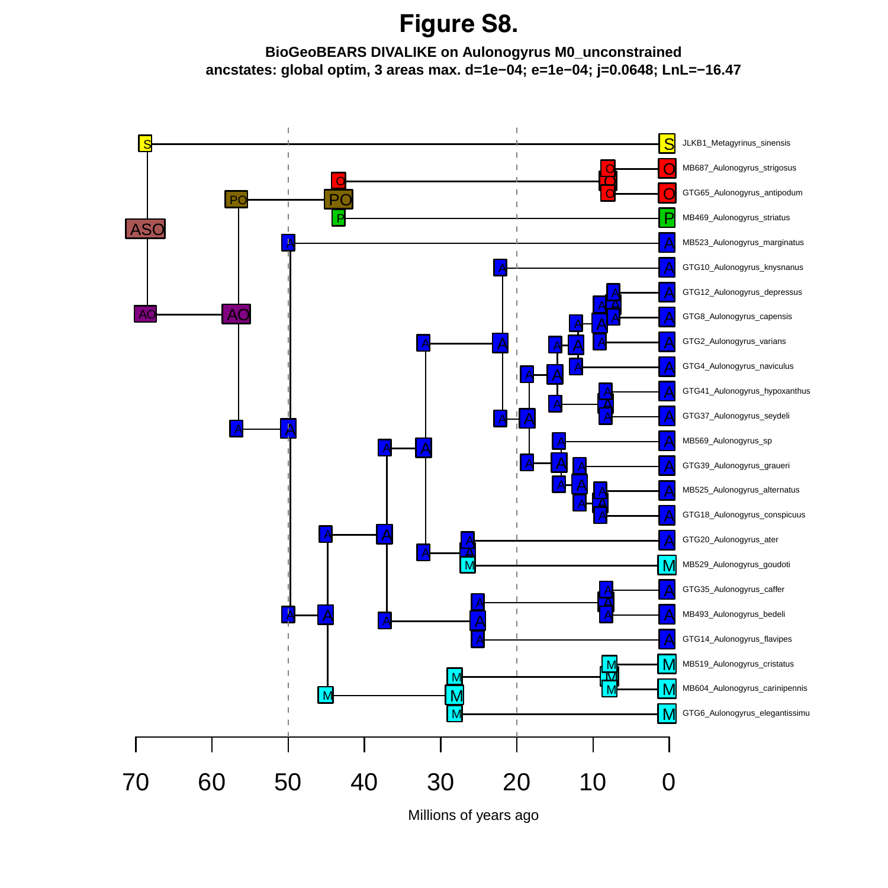### **Figure S8.**

#### **BioGeoBEARS DIVALIKE on Aulonogyrus M0\_unconstrained ancstates: global optim, 3 areas max. d=1e−04; e=1e−04; j=0.0648; LnL=−16.47**

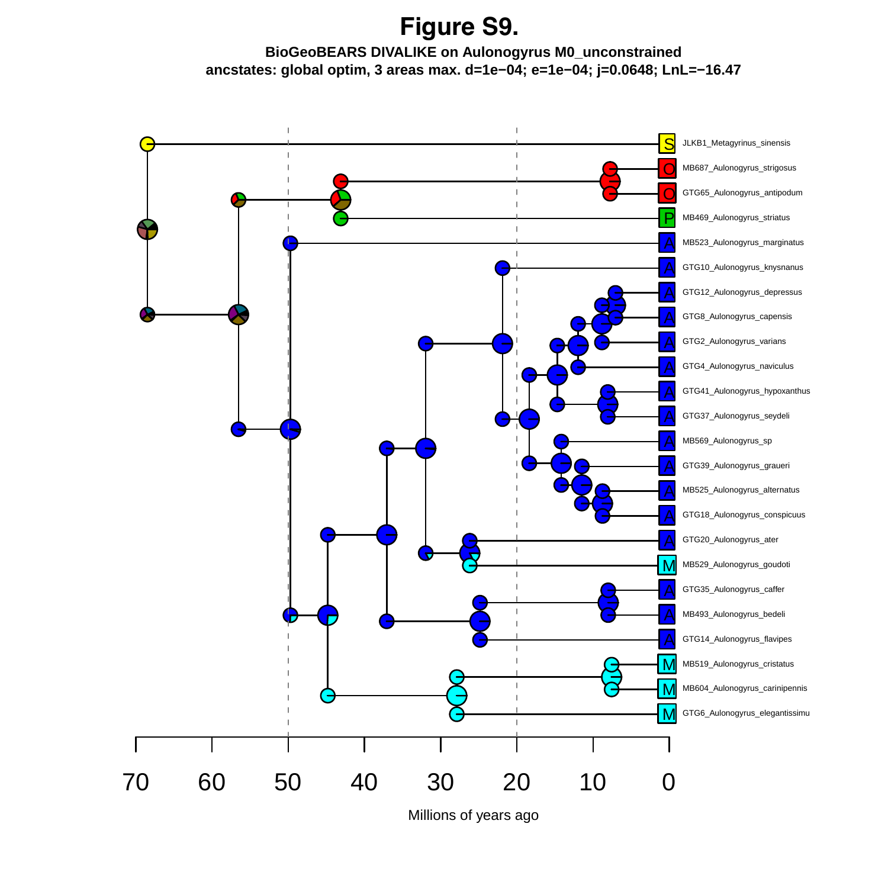**Figure S9.**

**BioGeoBEARS DIVALIKE on Aulonogyrus M0\_unconstrained ancstates: global optim, 3 areas max. d=1e−04; e=1e−04; j=0.0648; LnL=−16.47**

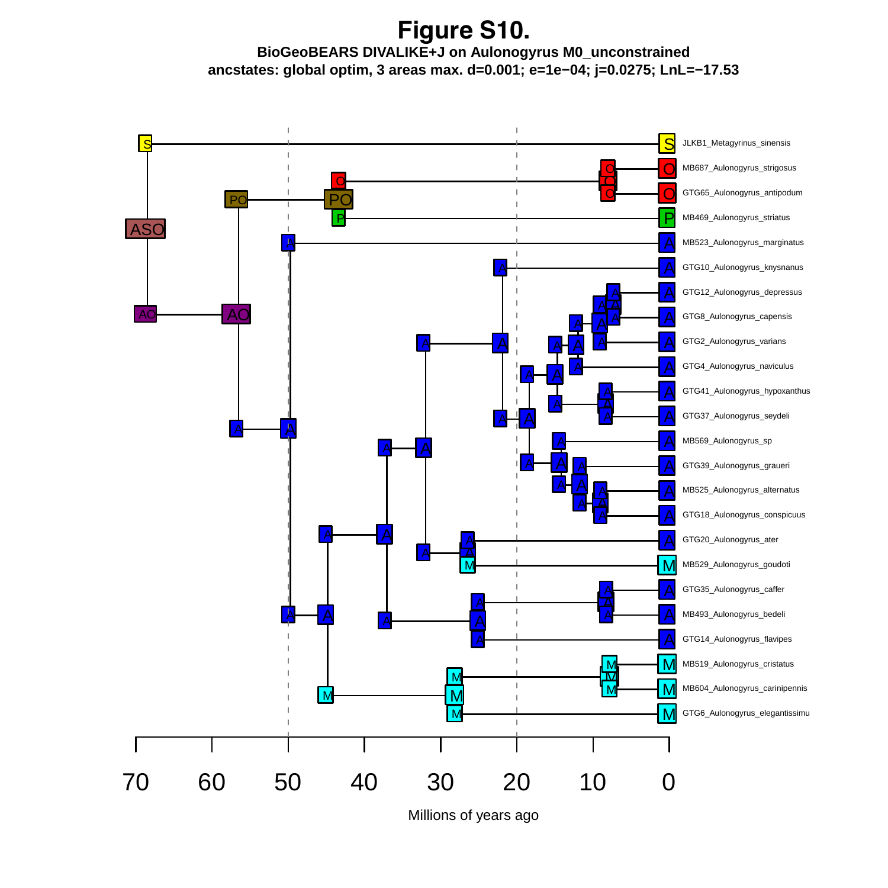**BioGeoBEARS DIVALIKE+J on Aulonogyrus M0\_unconstrained ancstates: global optim, 3 areas max. d=0.001; e=1e−04; j=0.0275; LnL=−17.53 Figure S10.**

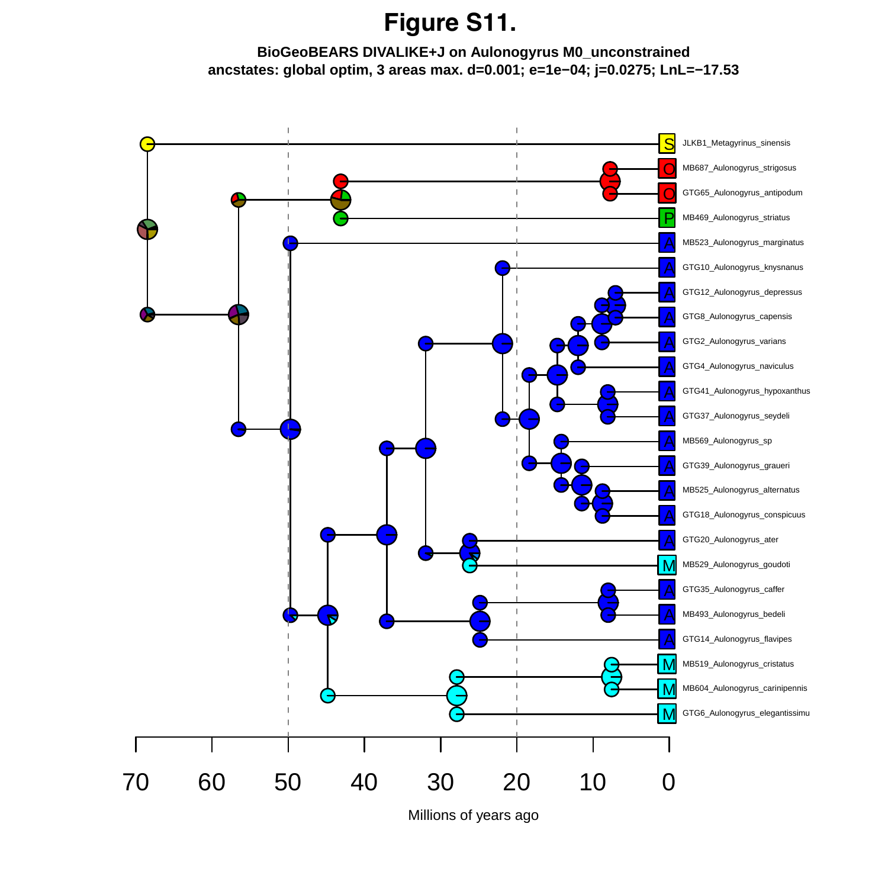## **Figure S11.**

#### **BioGeoBEARS DIVALIKE+J on Aulonogyrus M0\_unconstrained ancstates: global optim, 3 areas max. d=0.001; e=1e−04; j=0.0275; LnL=−17.53**

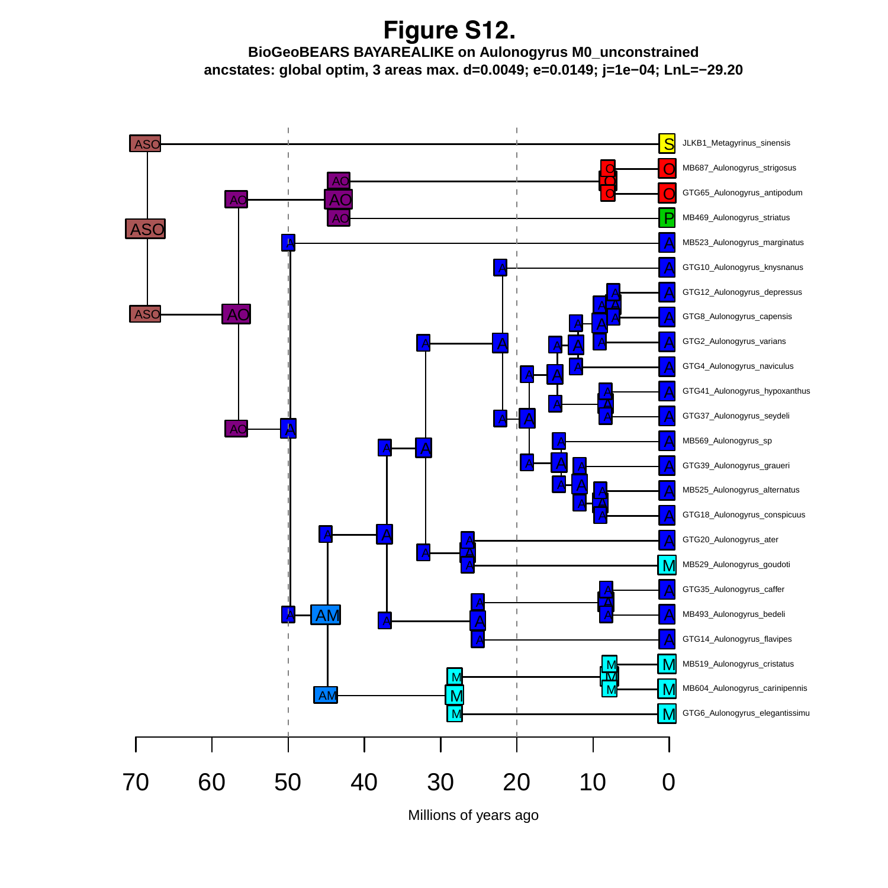**BioGeoBEARS BAYAREALIKE on Aulonogyrus M0\_unconstrained ancstates: global optim, 3 areas max. d=0.0049; e=0.0149; j=1e−04; LnL=−29.20 Figure S12.**

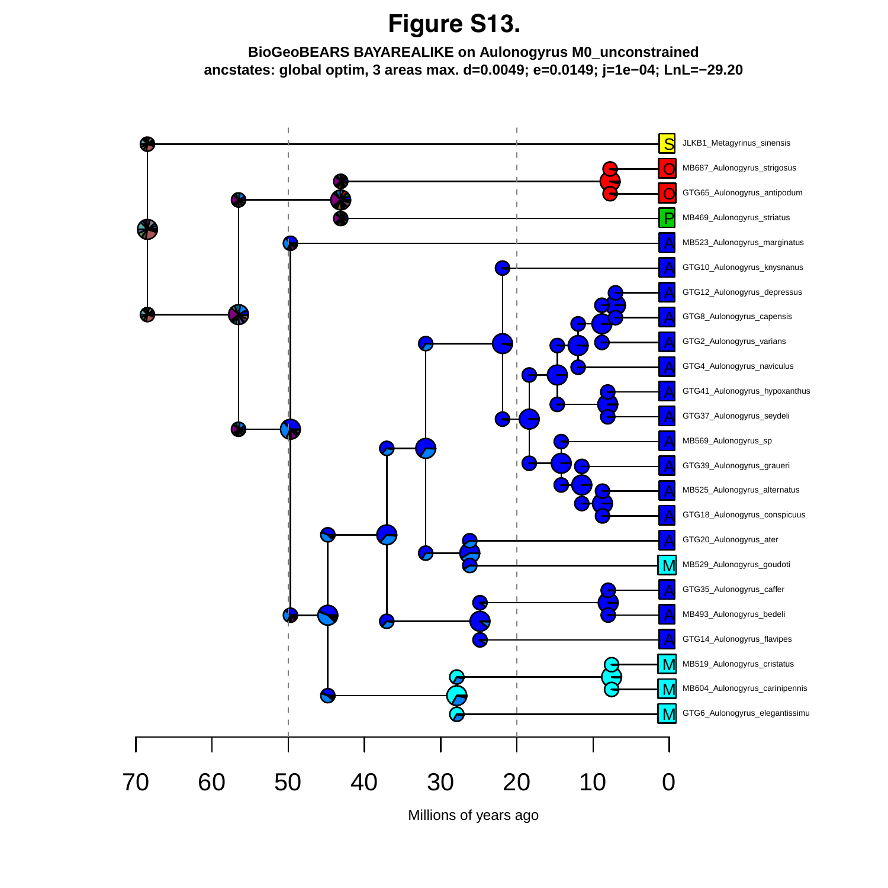# **Figure S13.**

#### **BioGeoBEARS BAYAREALIKE on Aulonogyrus M0\_unconstrained ancstates: global optim, 3 areas max. d=0.0049; e=0.0149; j=1e−04; LnL=−29.20**

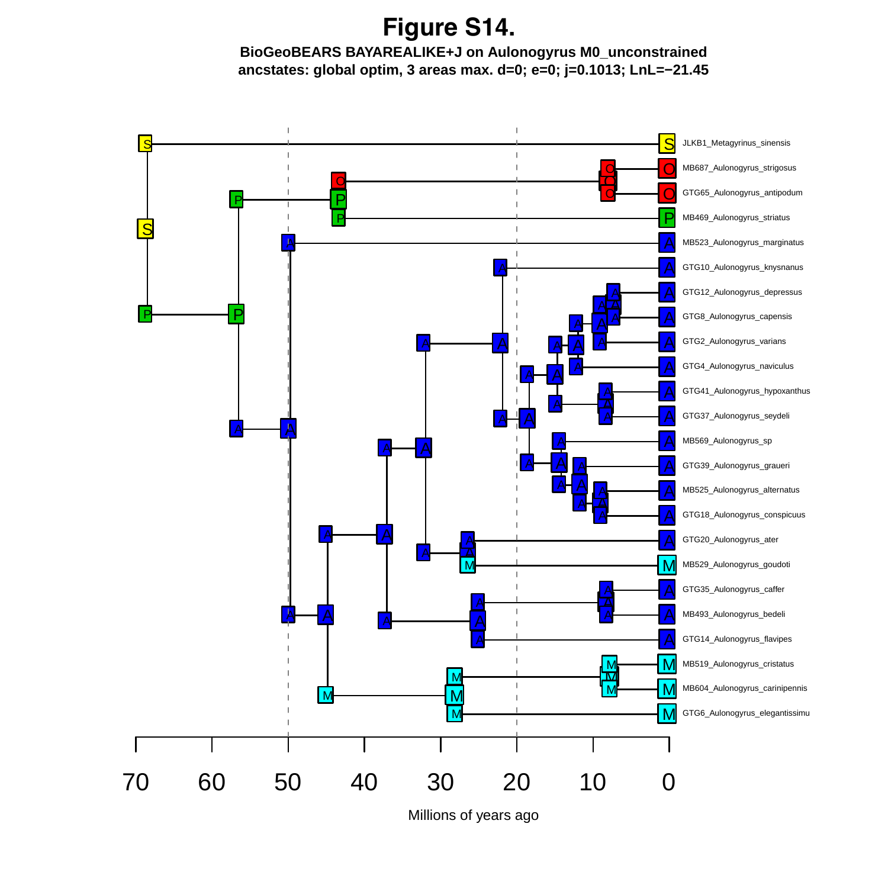**BioGeoBEARS BAYAREALIKE+J on Aulonogyrus M0\_unconstrained Figure S14.**

**ancstates: global optim, 3 areas max. d=0; e=0; j=0.1013; LnL=−21.45**